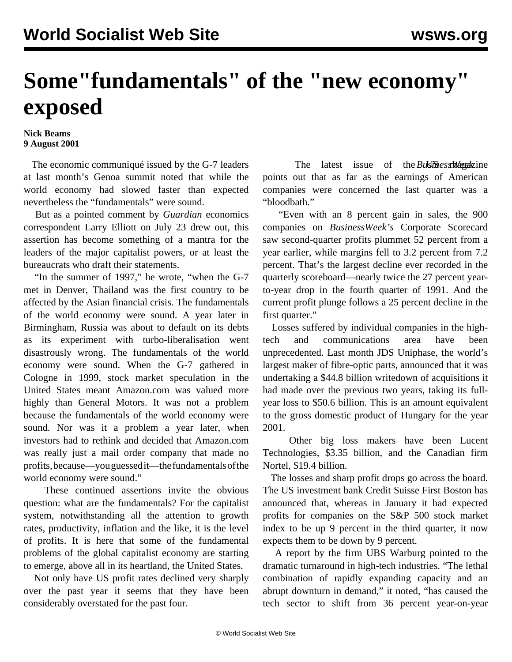## **Some"fundamentals" of the "new economy" exposed**

## **Nick Beams 9 August 2001**

 The economic communiqué issued by the G-7 leaders at last month's Genoa summit noted that while the world economy had slowed faster than expected nevertheless the "fundamentals" were sound.

 But as a pointed comment by *Guardian* economics correspondent Larry Elliott on July 23 drew out, this assertion has become something of a mantra for the leaders of the major capitalist powers, or at least the bureaucrats who draft their statements.

 "In the summer of 1997," he wrote, "when the G-7 met in Denver, Thailand was the first country to be affected by the Asian financial crisis. The fundamentals of the world economy were sound. A year later in Birmingham, Russia was about to default on its debts as its experiment with turbo-liberalisation went disastrously wrong. The fundamentals of the world economy were sound. When the G-7 gathered in Cologne in 1999, stock market speculation in the United States meant Amazon.com was valued more highly than General Motors. It was not a problem because the fundamentals of the world economy were sound. Nor was it a problem a year later, when investors had to rethink and decided that Amazon.com was really just a mail order company that made no profits, because—you guessed it—the fundamentals of the world economy were sound."

 These continued assertions invite the obvious question: what are the fundamentals? For the capitalist system, notwithstanding all the attention to growth rates, productivity, inflation and the like, it is the level of profits. It is here that some of the fundamental problems of the global capitalist economy are starting to emerge, above all in its heartland, the United States.

 Not only have US profit rates declined very sharply over the past year it seems that they have been considerably overstated for the past four.

The latest issue of the Business of the Business of the Business of the Business of the *Business Megakine* points out that as far as the earnings of American companies were concerned the last quarter was a "bloodbath."

 "Even with an 8 percent gain in sales, the 900 companies on *BusinessWeek's* Corporate Scorecard saw second-quarter profits plummet 52 percent from a year earlier, while margins fell to 3.2 percent from 7.2 percent. That's the largest decline ever recorded in the quarterly scoreboard—nearly twice the 27 percent yearto-year drop in the fourth quarter of 1991. And the current profit plunge follows a 25 percent decline in the first quarter."

 Losses suffered by individual companies in the hightech and communications area have been unprecedented. Last month JDS Uniphase, the world's largest maker of fibre-optic parts, announced that it was undertaking a \$44.8 billion writedown of acquisitions it had made over the previous two years, taking its fullyear loss to \$50.6 billion. This is an amount equivalent to the gross domestic product of Hungary for the year 2001.

 Other big loss makers have been Lucent Technologies, \$3.35 billion, and the Canadian firm Nortel, \$19.4 billion.

 The losses and sharp profit drops go across the board. The US investment bank Credit Suisse First Boston has announced that, whereas in January it had expected profits for companies on the S&P 500 stock market index to be up 9 percent in the third quarter, it now expects them to be down by 9 percent.

 A report by the firm UBS Warburg pointed to the dramatic turnaround in high-tech industries. "The lethal combination of rapidly expanding capacity and an abrupt downturn in demand," it noted, "has caused the tech sector to shift from 36 percent year-on-year